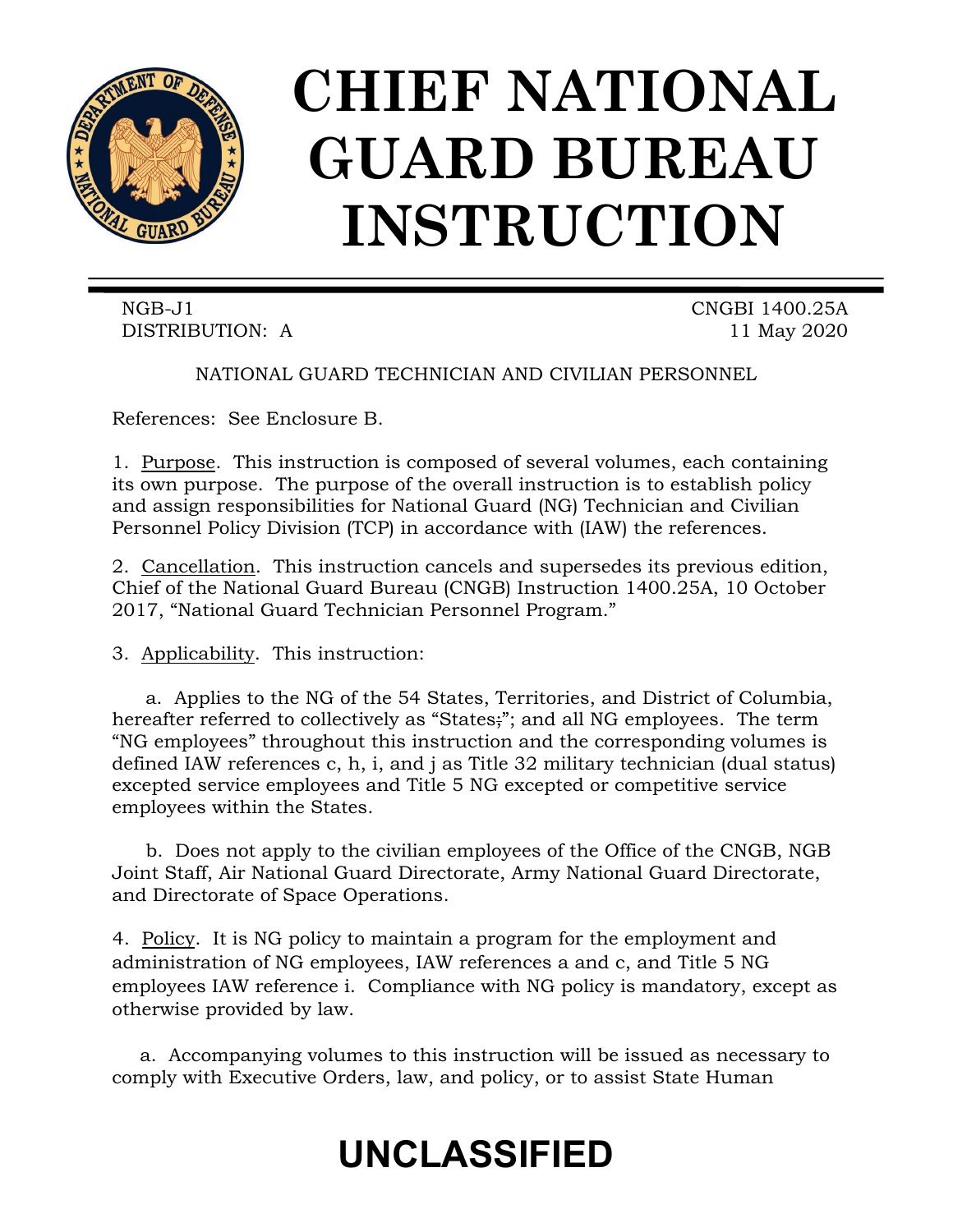

# **CHIEF NATIONAL GUARD BUREAU INSTRUCTION**

NGB-J1 CNGBI 1400.25A DISTRIBUTION: A 11 May 2020

NATIONAL GUARD TECHNICIAN AND CIVILIAN PERSONNEL

References: See Enclosure B.

1. Purpose. This instruction is composed of several volumes, each containing its own purpose. The purpose of the overall instruction is to establish policy and assign responsibilities for National Guard (NG) Technician and Civilian Personnel Policy Division (TCP) in accordance with (IAW) the references.

2. Cancellation. This instruction cancels and supersedes its previous edition, Chief of the National Guard Bureau (CNGB) Instruction 1400.25A, 10 October 2017, "National Guard Technician Personnel Program."

3. Applicability. This instruction:

a. Applies to the NG of the 54 States, Territories, and District of Columbia, hereafter referred to collectively as "States;"; and all NG employees. The term "NG employees" throughout this instruction and the corresponding volumes is defined IAW references c, h, i, and j as Title 32 military technician (dual status) excepted service employees and Title 5 NG excepted or competitive service employees within the States.

b. Does not apply to the civilian employees of the Office of the CNGB, NGB Joint Staff, Air National Guard Directorate, Army National Guard Directorate, and Directorate of Space Operations.

4. Policy. It is NG policy to maintain a program for the employment and administration of NG employees, IAW references a and c, and Title 5 NG employees IAW reference i. Compliance with NG policy is mandatory, except as otherwise provided by law.

a. Accompanying volumes to this instruction will be issued as necessary to comply with Executive Orders, law, and policy, or to assist State Human

# **UNCLASSIFIED**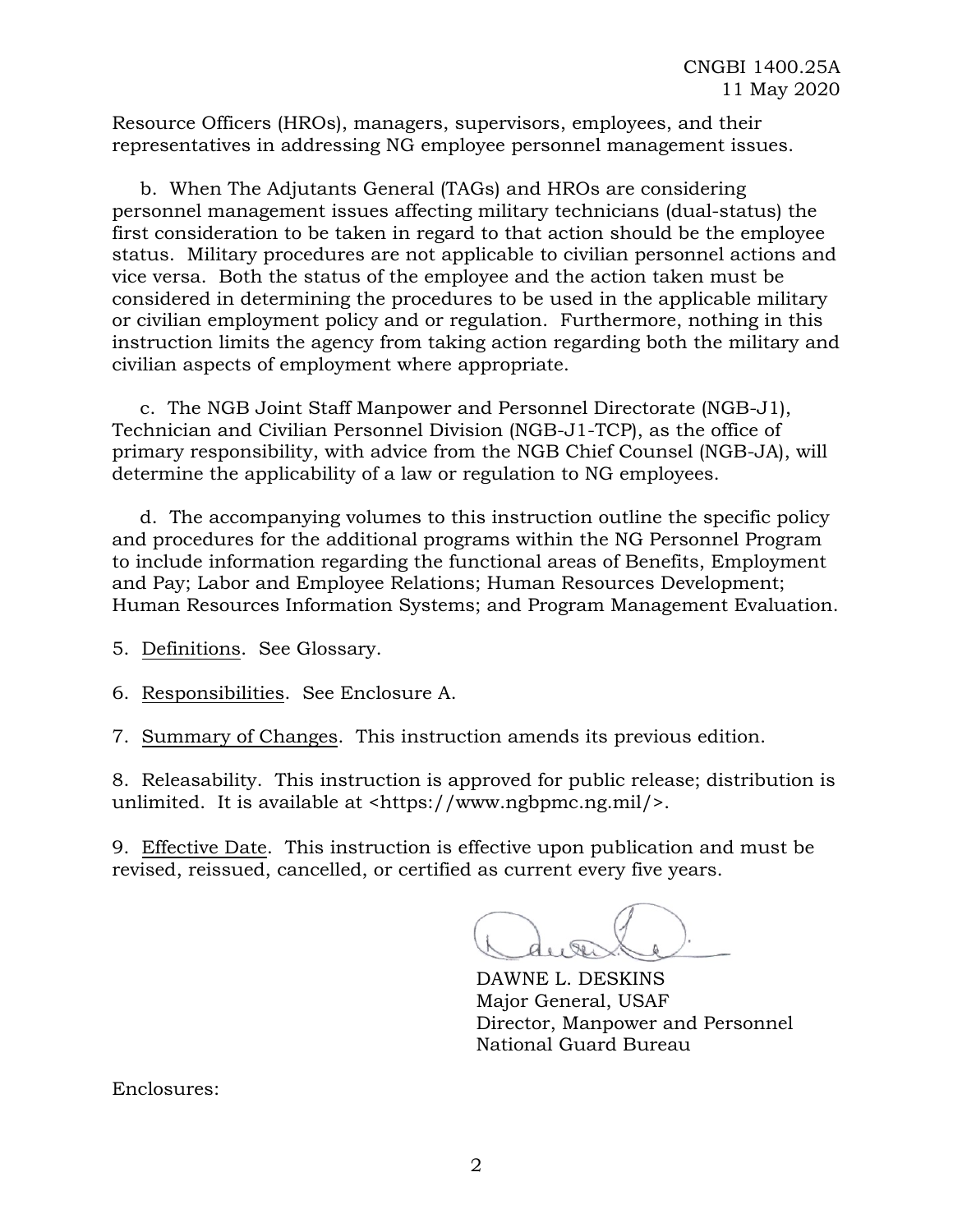Resource Officers (HROs), managers, supervisors, employees, and their representatives in addressing NG employee personnel management issues.

b. When The Adjutants General (TAGs) and HROs are considering personnel management issues affecting military technicians (dual-status) the first consideration to be taken in regard to that action should be the employee status. Military procedures are not applicable to civilian personnel actions and vice versa. Both the status of the employee and the action taken must be considered in determining the procedures to be used in the applicable military or civilian employment policy and or regulation. Furthermore, nothing in this instruction limits the agency from taking action regarding both the military and civilian aspects of employment where appropriate.

c. The NGB Joint Staff Manpower and Personnel Directorate (NGB-J1), Technician and Civilian Personnel Division (NGB-J1-TCP), as the office of primary responsibility, with advice from the NGB Chief Counsel (NGB-JA), will determine the applicability of a law or regulation to NG employees.

d. The accompanying volumes to this instruction outline the specific policy and procedures for the additional programs within the NG Personnel Program to include information regarding the functional areas of Benefits, Employment and Pay; Labor and Employee Relations; Human Resources Development; Human Resources Information Systems; and Program Management Evaluation.

5. Definitions. See Glossary.

6. Responsibilities. See Enclosure A.

7. Summary of Changes. This instruction amends its previous edition.

8. Releasability. This instruction is approved for public release; distribution is unlimited. It is available at <https://www.ngbpmc.ng.mil/>.

9. Effective Date. This instruction is effective upon publication and must be revised, reissued, cancelled, or certified as current every five years.

DAWNE L. DESKINS Major General, USAF Director, Manpower and Personnel National Guard Bureau

Enclosures: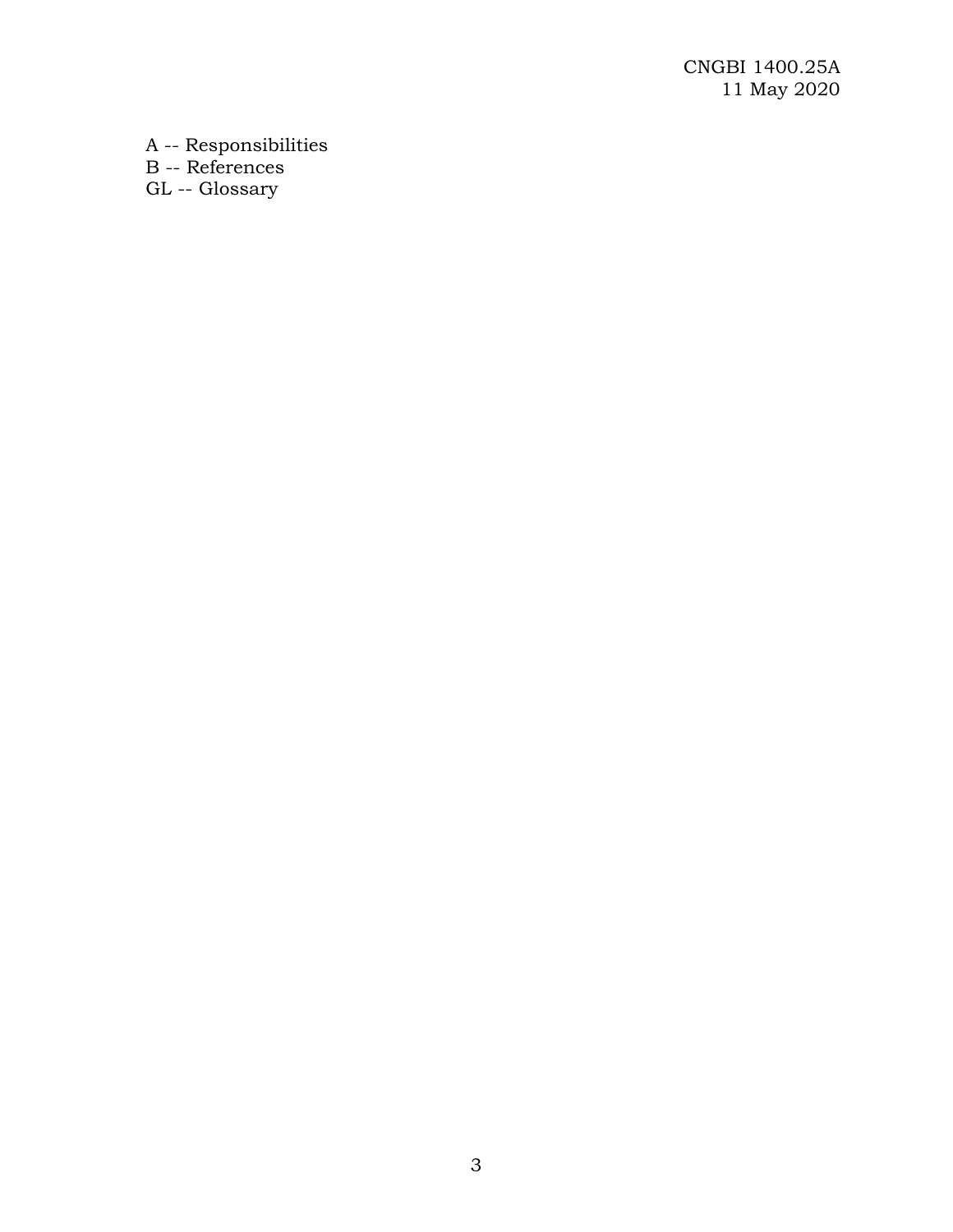A -- Responsibilities B -- References GL -- Glossary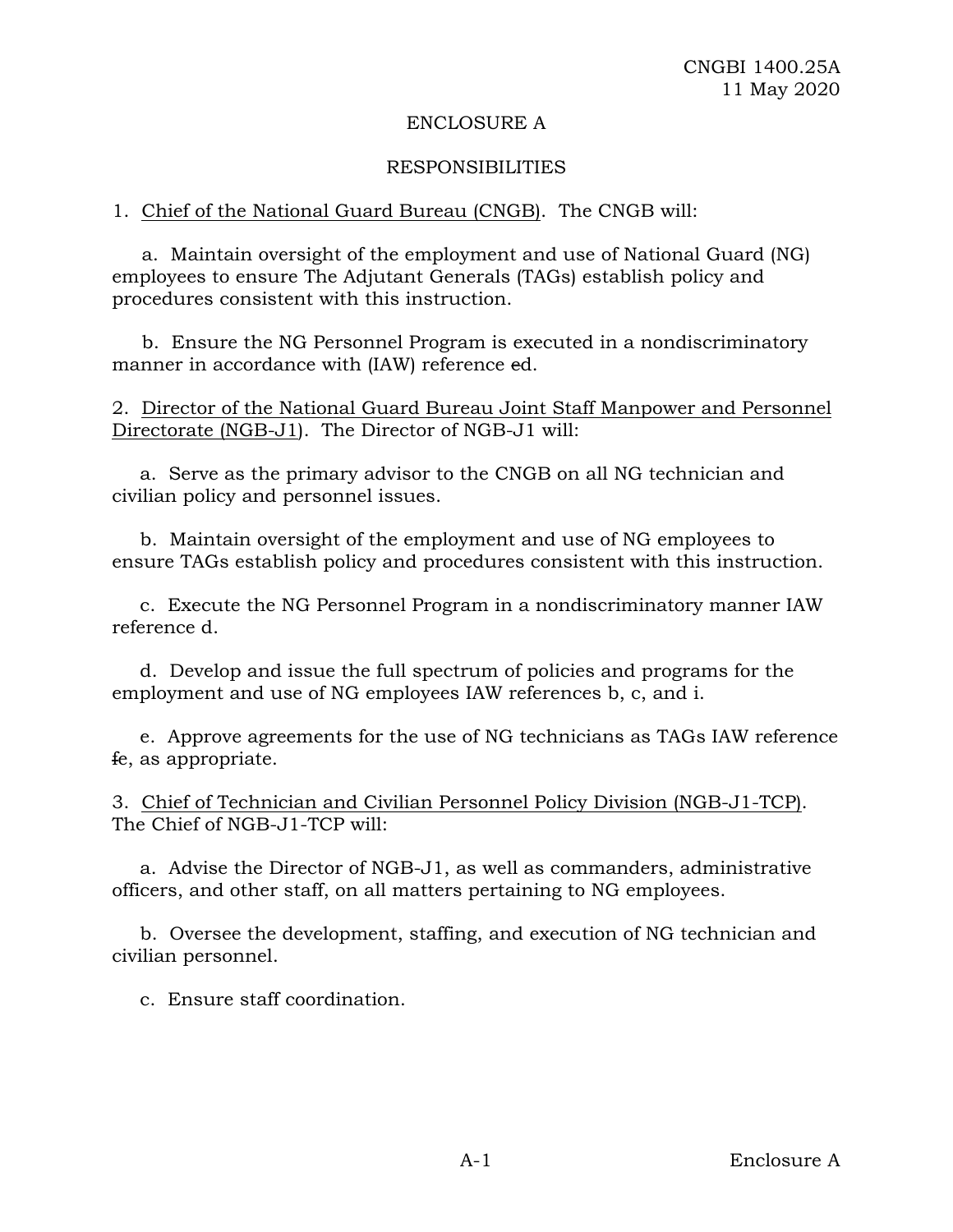#### ENCLOSURE A

## RESPONSIBILITIES

## 1. Chief of the National Guard Bureau (CNGB). The CNGB will:

 a. Maintain oversight of the employment and use of National Guard (NG) employees to ensure The Adjutant Generals (TAGs) establish policy and procedures consistent with this instruction.

 b. Ensure the NG Personnel Program is executed in a nondiscriminatory manner in accordance with (IAW) reference ed.

2. Director of the National Guard Bureau Joint Staff Manpower and Personnel Directorate (NGB-J1). The Director of NGB-J1 will:

a. Serve as the primary advisor to the CNGB on all NG technician and civilian policy and personnel issues.

b. Maintain oversight of the employment and use of NG employees to ensure TAGs establish policy and procedures consistent with this instruction.

c. Execute the NG Personnel Program in a nondiscriminatory manner IAW reference d.

d. Develop and issue the full spectrum of policies and programs for the employment and use of NG employees IAW references b, c, and i.

e. Approve agreements for the use of NG technicians as TAGs IAW reference fe, as appropriate.

3. Chief of Technician and Civilian Personnel Policy Division (NGB-J1-TCP). The Chief of NGB-J1-TCP will:

a. Advise the Director of NGB-J1, as well as commanders, administrative officers, and other staff, on all matters pertaining to NG employees.

b. Oversee the development, staffing, and execution of NG technician and civilian personnel.

c. Ensure staff coordination.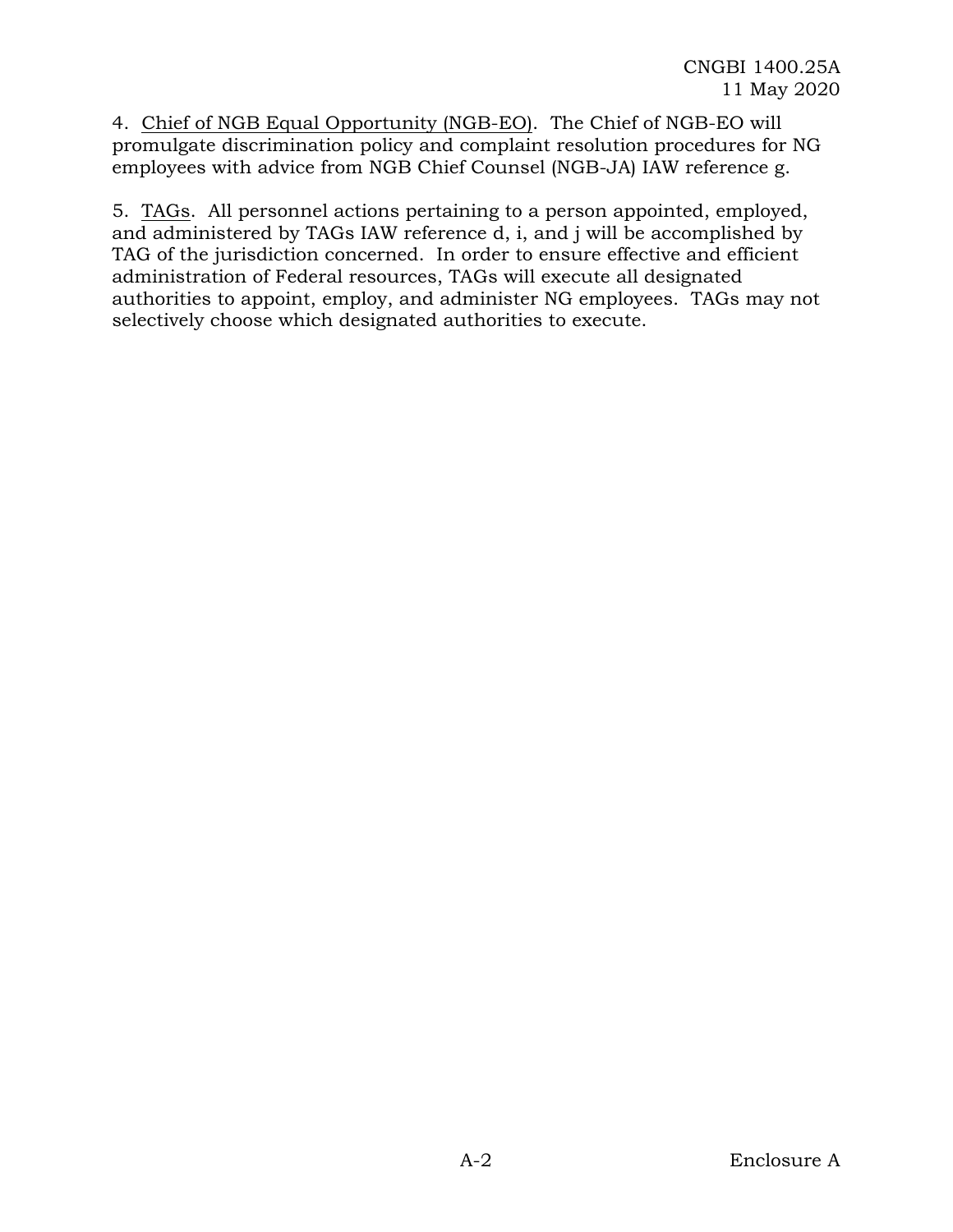4. Chief of NGB Equal Opportunity (NGB-EO). The Chief of NGB-EO will promulgate discrimination policy and complaint resolution procedures for NG employees with advice from NGB Chief Counsel (NGB-JA) IAW reference g.

5. TAGs. All personnel actions pertaining to a person appointed, employed, and administered by TAGs IAW reference d, i, and j will be accomplished by TAG of the jurisdiction concerned. In order to ensure effective and efficient administration of Federal resources, TAGs will execute all designated authorities to appoint, employ, and administer NG employees. TAGs may not selectively choose which designated authorities to execute.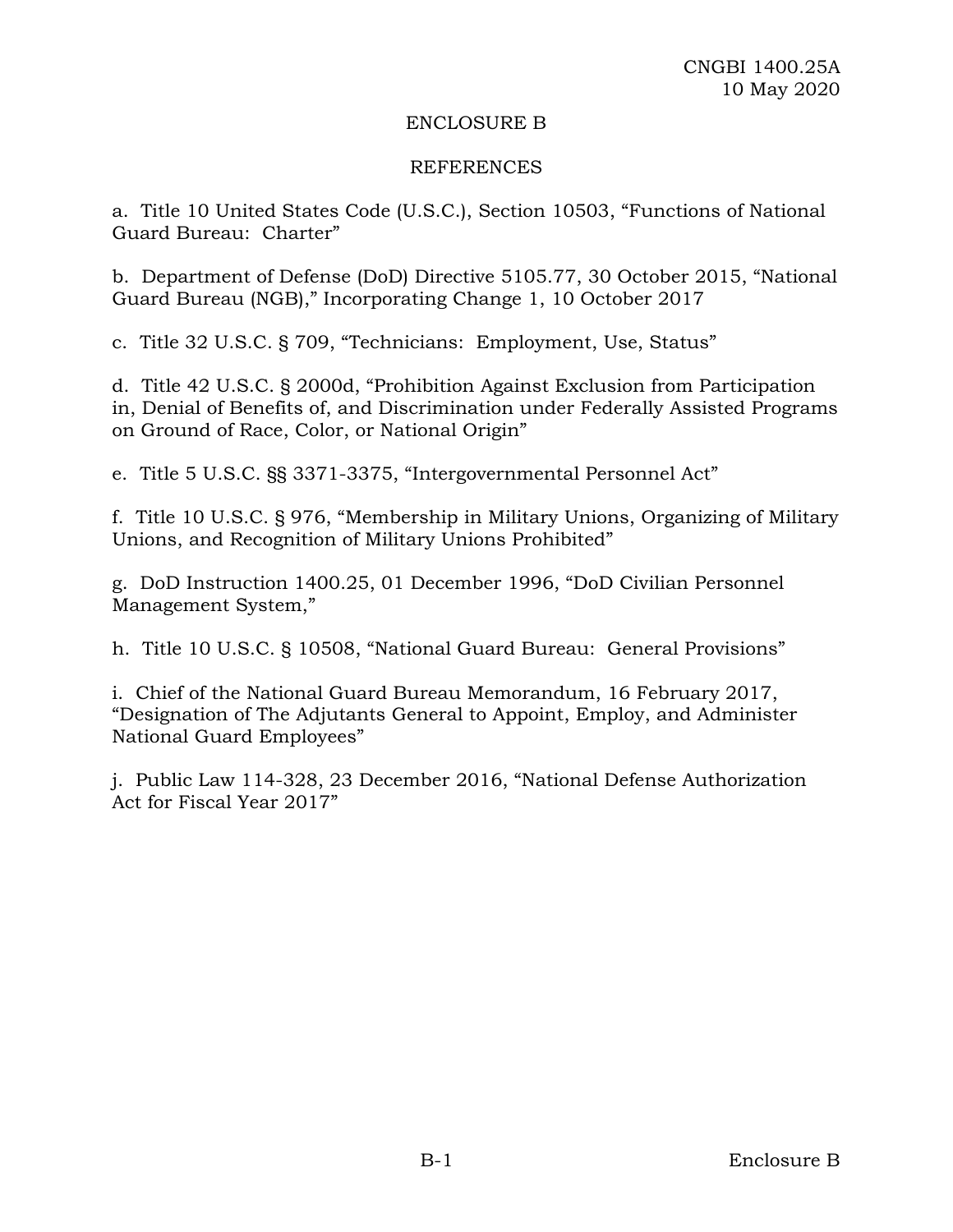#### ENCLOSURE B

#### REFERENCES

a. Title 10 United States Code (U.S.C.), Section 10503, "Functions of National Guard Bureau: Charter"

b. Department of Defense (DoD) Directive 5105.77, 30 October 2015, "National Guard Bureau (NGB)," Incorporating Change 1, 10 October 2017

c. Title 32 U.S.C. § 709, "Technicians: Employment, Use, Status"

d. Title 42 U.S.C. § 2000d, "Prohibition Against Exclusion from Participation in, Denial of Benefits of, and Discrimination under Federally Assisted Programs on Ground of Race, Color, or National Origin"

e. Title [5 U.S.C.](https://www.lexis.com/research/buttonTFLink?_m=4e79c3c208269f5964c0f3a0a884891b&_xfercite=%3ccite%20cc%3d%22USA%22%3e%3c%21%5bCDATA%5b5%20USCS%20%a7%203373%5d%5d%3e%3c%2fcite%3e&_butType=4&_butStat=0&_butNum=2&_butInline=1&_butinfo=5%20USC%203371&_fmtstr=FULL&docnum=1&_startdoc=1&wchp=dGLbVzt-zSkAb&_md5=7e498ba7b4196807498923edb0a7f254) §§ 3371-3375, "Intergovernmental Personnel Act"

f. Title 10 U.S.C. § 976, "Membership in Military Unions, Organizing of Military Unions, and Recognition of Military Unions Prohibited"

g. DoD Instruction 1400.25, 01 December 1996, "DoD Civilian Personnel Management System,"

h. Title 10 U.S.C. § 10508, "National Guard Bureau: General Provisions"

i. Chief of the National Guard Bureau Memorandum, 16 February 2017, "Designation of The Adjutants General to Appoint, Employ, and Administer National Guard Employees"

j. Public Law 114-328, 23 December 2016, "National Defense Authorization Act for Fiscal Year 2017"